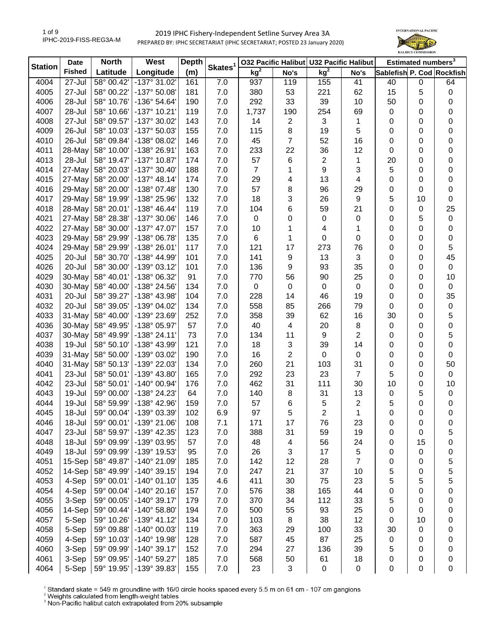

| <b>Station</b> | <b>Date</b>   | <b>North</b> | West                  | <b>Depth</b> | Skates <sup>1</sup> |                 |                | 032 Pacific Halibut U32 Pacific Halibut |                |                           | Estimated numbers <sup>3</sup><br>0<br>5<br>0<br>0<br>0<br>0<br>0<br>0<br>0<br>0<br>0<br>0<br>10<br>$\mathbf 0$<br>5<br>0<br>0<br>0<br>0<br>0<br>0<br>0<br>0<br>0<br>0<br>0<br>0<br>0<br>0<br>0 |             |
|----------------|---------------|--------------|-----------------------|--------------|---------------------|-----------------|----------------|-----------------------------------------|----------------|---------------------------|-------------------------------------------------------------------------------------------------------------------------------------------------------------------------------------------------|-------------|
|                | <b>Fished</b> | Latitude     | Longitude             | (m)          |                     | kg <sup>2</sup> | No's           | kg <sup>2</sup>                         | No's           | Sablefish P. Cod Rockfish |                                                                                                                                                                                                 |             |
| 4004           | 27-Jul        | 58° 00.42'   | -137° 31.02'          | 161          | 7.0                 | 937             | 119            | 155                                     | 41             | 40                        |                                                                                                                                                                                                 | 64          |
| 4005           | 27-Jul        | 58° 00.22'   | -137° 50.08'          | 181          | 7.0                 | 380             | 53             | 221                                     | 62             | 15                        |                                                                                                                                                                                                 | $\pmb{0}$   |
| 4006           | 28-Jul        | 58° 10.76'   | -136° 54.64'          | 190          | 7.0                 | 292             | 33             | 39                                      | 10             | 50                        |                                                                                                                                                                                                 | $\mathbf 0$ |
| 4007           | 28-Jul        | 58° 10.66'   | -137° 10.21'          | 119          | 7.0                 | 1,737           | 190            | 254                                     | 69             | 0                         |                                                                                                                                                                                                 | $\mathbf 0$ |
| 4008           | 27-Jul        | 58° 09.57'   | -137° 30.02'          | 143          | 7.0                 | 14              | $\overline{c}$ | 3                                       | 1              | 0                         |                                                                                                                                                                                                 | $\mathbf 0$ |
| 4009           | 26-Jul        | 58° 10.03'   | -137° 50.03'          | 155          | 7.0                 | 115             | 8              | 19                                      | 5              | 0                         |                                                                                                                                                                                                 | 0           |
| 4010           | 26-Jul        | 58° 09.84'   | -138° 08.02'          | 146          | 7.0                 | 45              | $\overline{7}$ | 52                                      | 16             | 0                         |                                                                                                                                                                                                 | 0           |
| 4011           | 28-May        | 58° 10.00'   | -138° 26.91'          | 163          | 7.0                 | 233             | 22             | 36                                      | 12             | 0                         |                                                                                                                                                                                                 | 0           |
| 4013           | 28-Jul        | 58° 19.47'   | -137° 10.87'          | 174          | 7.0                 | 57              | 6              | $\overline{2}$                          | 1              | 20                        |                                                                                                                                                                                                 | 0           |
| 4014           | 27-May        | 58° 20.03'   | -137° 30.40'          | 188          | 7.0                 | $\overline{7}$  | 1              | 9                                       | 3              | 5                         |                                                                                                                                                                                                 | 0           |
| 4015           | 27-May        | 58° 20.00'   | $-137°$ 48.14         | 174          | 7.0                 | 29              | 4              | 13                                      | 4              | 0                         |                                                                                                                                                                                                 | 0           |
| 4016           | 29-May        | 58° 20.00'   | -138° 07.48'          | 130          | 7.0                 | 57              | 8              | 96                                      | 29             | 0                         |                                                                                                                                                                                                 | $\mathbf 0$ |
| 4017           | 29-May        | 58° 19.99'   | -138° 25.96'          | 132          | 7.0                 | 18              | 3              | 26                                      | 9              | 5                         |                                                                                                                                                                                                 | $\pmb{0}$   |
| 4018           | 28-May        | 58° 20.01'   | $-138^{\circ}$ 46.44' | 119          | 7.0                 | 104             | 6              | 59                                      | 21             | 0                         |                                                                                                                                                                                                 | 25          |
| 4021           | 27-May        | 58° 28.38'   | -137° 30.06'          | 146          | 7.0                 | $\mathbf 0$     | 0              | $\pmb{0}$                               | $\pmb{0}$      | 0                         |                                                                                                                                                                                                 | $\pmb{0}$   |
| 4022           | 27-May        | 58° 30.00'   | -137° 47.07'          | 157          | 7.0                 | 10              | 1              | 4                                       | 1              | 0                         |                                                                                                                                                                                                 | $\pmb{0}$   |
| 4023           | 29-May        | 58° 29.99'   | -138° 06.78'          | 135          | 7.0                 | $\,6$           | 1              | 0                                       | 0              | 0                         |                                                                                                                                                                                                 | $\pmb{0}$   |
| 4024           | 29-May        | 58° 29.99'   | -138° 26.01'          | 117          | 7.0                 | 121             | 17             | 273                                     | 76             | 0                         |                                                                                                                                                                                                 | 5           |
| 4025           | 20-Jul        | 58° 30.70'   | -138° 44.99'          | 101          | 7.0                 | 141             | 9              | 13                                      | 3              | 0                         |                                                                                                                                                                                                 | 45          |
| 4026           | 20-Jul        | 58° 30.00'   | -139° 03.12'          | 101          | 7.0                 | 136             | 9              | 93                                      | 35             | 0                         |                                                                                                                                                                                                 | $\mathbf 0$ |
| 4029           | 30-May        | 58° 40.01'   | -138° 06.32'          | 91           | 7.0                 | 770             | 56             | 90                                      | 25             | 0                         |                                                                                                                                                                                                 | 10          |
| 4030           | 30-May        | 58° 40.00'   | -138° 24.56'          | 134          | 7.0                 | $\mathbf 0$     | 0              | $\pmb{0}$                               | $\pmb{0}$      | 0                         |                                                                                                                                                                                                 | $\mathbf 0$ |
| 4031           | 20-Jul        | 58° 39.27'   | -138° 43.98'          | 104          | 7.0                 | 228             | 14             | 46                                      | 19             | 0                         |                                                                                                                                                                                                 | 35          |
| 4032           | 20-Jul        | 58° 39.05'   | -139° 04.02'          | 134          | 7.0                 | 558             | 85             | 266                                     | 79             | 0                         |                                                                                                                                                                                                 | $\pmb{0}$   |
| 4033           | 31-May        | 58° 40.00'   | -139° 23.69'          | 252          | 7.0                 | 358             | 39             | 62                                      | 16             | 30                        |                                                                                                                                                                                                 | 5           |
| 4036           | 30-May        | 58° 49.95'   | -138° 05.97'          | 57           | 7.0                 | 40              | 4              | 20                                      | $\,8\,$        | 0                         |                                                                                                                                                                                                 | 0           |
| 4037           | 30-May        | 58° 49.99'   | $-138°24.11'$         | 73           | 7.0                 | 134             | 11             | 9                                       | 2              | 0                         |                                                                                                                                                                                                 | 5           |
| 4038           | 19-Jul        | 58° 50.10'   | -138° 43.99'          | 121          | 7.0                 | 18              | 3              | 39                                      | 14             | 0                         |                                                                                                                                                                                                 | $\mathbf 0$ |
| 4039           | 31-May        | 58° 50.00'   | -139° 03.02'          | 190          | 7.0                 | 16              | 2              | $\mathbf 0$                             | $\pmb{0}$      | 0                         |                                                                                                                                                                                                 | 0           |
| 4040           | 31-May        | 58° 50.13'   | -139° 22.03'          | 134          | 7.0                 | 260             | 21             | 103                                     | 31             | 0                         |                                                                                                                                                                                                 | 50          |
| 4041           | 23-Jul        | 58° 50.01'   | -139° 43.80'          | 165          | 7.0                 | 292             | 23             | 23                                      | $\overline{7}$ | 5                         | 0                                                                                                                                                                                               | $\mathbf 0$ |
| 4042           | 23-Jul        | 58° 50.01'   | -140° 00.94'          | 176          | 7.0                 | 462             | 31             | 111                                     | 30             | 10                        | 0                                                                                                                                                                                               | 10          |
| 4043           | 19-Jul        | 59° 00.00'   | -138° 24.23'          | 64           | 7.0                 | 140             | 8              | 31                                      | 13             | 0                         | 5                                                                                                                                                                                               | $\pmb{0}$   |
| 4044           | 19-Jul        | 58° 59.99'   | -138° 42.96'          | 159          | 7.0                 | 57              | 6              | 5                                       | $\overline{c}$ | 5                         | 0                                                                                                                                                                                               | 0           |
| 4045           | 18-Jul        | 59° 00.04'   | -139° 03.39           | 102          | 6.9                 | 97              | 5              | 2                                       | 1              | 0                         | 0                                                                                                                                                                                               | 0           |
| 4046           | 18-Jul        | 59° 00.01'   | -139° 21.06'          | 108          | 7.1                 | 171             | 17             | 76                                      | 23             | 0                         | 0                                                                                                                                                                                               | 0           |
| 4047           | 23-Jul        | 58° 59.97'   | -139° 42.35'          | 123          | 7.0                 | 388             | 31             | 59                                      | 19             | 0                         | 0                                                                                                                                                                                               | 5           |
| 4048           | 18-Jul        | 59° 09.99'   | -139° 03.95'          | 57           | 7.0                 | 48              | 4              | 56                                      | 24             | 0                         | 15                                                                                                                                                                                              | 0           |
| 4049           | 18-Jul        | 59° 09.99'   | -139° 19.53'          | 95           | 7.0                 | 26              | 3              | 17                                      | 5              | 0                         | 0                                                                                                                                                                                               | 0           |
| 4051           | 15-Sep        | 58° 49.87'   | -140° 21.09'          | 185          | 7.0                 | 142             | 12             | 28                                      | 7              | 0                         | 0                                                                                                                                                                                               | 5           |
| 4052           | 14-Sep        | 58° 49.99'   | $-140^{\circ}$ 39.15  | 194          | 7.0                 | 247             | 21             | 37                                      | 10             | 5                         | 0                                                                                                                                                                                               | 5           |
| 4053           | 4-Sep         | 59° 00.01'   | $-140^{\circ} 01.10'$ | 135          | 4.6                 | 411             | 30             | 75                                      | 23             | 5                         | 5                                                                                                                                                                                               | 5           |
| 4054           | 4-Sep         | 59° 00.04'   | $-140^{\circ} 20.16'$ | 157          | 7.0                 | 576             | 38             | 165                                     | 44             | 0                         | 0                                                                                                                                                                                               | 0           |
| 4055           | 3-Sep         | 59° 00.05'   | $-140^{\circ}$ 39.17  | 179          | 7.0                 | 370             | 34             | 112                                     | 33             | 5                         | 0                                                                                                                                                                                               | 0           |
| 4056           | 14-Sep        | 59° 00.44'   | -140° 58.80'          | 194          | 7.0                 | 500             | 55             | 93                                      | 25             | 0                         | 0                                                                                                                                                                                               | 0           |
| 4057           | 5-Sep         | 59° 10.26'   | $-139°$ 41.12         | 134          | 7.0                 | 103             | 8              | 38                                      | 12             | 0                         | 10                                                                                                                                                                                              | 0           |
| 4058           | 5-Sep         | 59° 09.88'   | -140° 00.03'          | 119          | 7.0                 | 363             | 29             | 100                                     | 33             | 30                        | 0                                                                                                                                                                                               | 0           |
| 4059           | 4-Sep         | 59° 10.03'   | -140° 19.98'          | 128          | 7.0                 | 587             | 45             | 87                                      | 25             | 0                         | 0                                                                                                                                                                                               | 0           |
| 4060           | 3-Sep         | 59° 09.99'   | $-140^{\circ}$ 39.17  | 152          | 7.0                 | 294             | 27             | 136                                     | 39             | 5                         | 0                                                                                                                                                                                               | 0           |
| 4061           | 3-Sep         | 59° 09.95'   | -140° 59.27'          | 185          | 7.0                 | 568             | 50             | 61                                      | 18             | 0                         | 0                                                                                                                                                                                               | 0           |
| 4064           | 5-Sep         | 59° 19.95'   | -139° 39.83'          | 155          | 7.0                 | 23              | 3              | $\pmb{0}$                               | $\,0\,$        | 0                         | 0                                                                                                                                                                                               | 0           |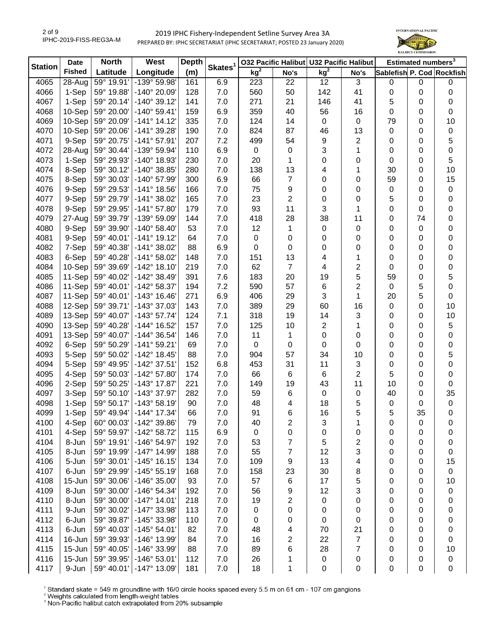

| <b>Station</b> | <b>Date</b>   | <b>North</b> | West                         | <b>Depth</b> | Skates <sup>1</sup> | 032 Pacific Halibut U32 Pacific Halibut |                |                 |                         |             | Estimated numbers <sup>3</sup> |                           |
|----------------|---------------|--------------|------------------------------|--------------|---------------------|-----------------------------------------|----------------|-----------------|-------------------------|-------------|--------------------------------|---------------------------|
|                | <b>Fished</b> | Latitude     | Longitude                    | (m)          |                     | kg <sup>2</sup>                         | No's           | kg <sup>2</sup> | No's                    |             |                                | Sablefish P. Cod Rockfish |
| 4065           | 28-Aug        | 59° 19.91'   | -139° 59.98'                 | 161          | 6.9                 | 223                                     | 22             | 12              | $\sqrt{3}$              | 0           | $\boldsymbol{0}$               | 0                         |
| 4066           | 1-Sep         | 59° 19.88'   | -140° 20.09'                 | 128          | 7.0                 | 560                                     | 50             | 142             | 41                      | 0           | 0                              | 0                         |
| 4067           | 1-Sep         | 59° 20.14'   | $-140^{\circ}$ 39.12         | 141          | 7.0                 | 271                                     | 21             | 146             | 41                      | 5           | 0                              | 0                         |
| 4068           | 10-Sep        | 59° 20.00'   | $-140^{\circ} 59.41'$        | 159          | 6.9                 | 359                                     | 40             | 56              | 16                      | 0           | 0                              | 0                         |
| 4069           | 10-Sep        | 59° 20.09'   | $-141°$ 14.12                | 335          | 7.0                 | 124                                     | 14             | 0               | 0                       | 79          | 0                              | 10                        |
| 4070           | 10-Sep        | 59° 20.06'   | $-141^{\circ}$ 39.28         | 190          | 7.0                 | 824                                     | 87             | 46              | 13                      | $\mathbf 0$ | 0                              | $\pmb{0}$                 |
| 4071           | 9-Sep         | 59° 20.75'   | $-141°57.91'$                | 207          | 7.2                 | 499                                     | 54             | 9               | 2                       | 0           | 0                              | 5                         |
| 4072           | 28-Aug        | 59° 30.44'   | -139° 59.94'                 | 110          | 6.9                 | 0                                       | 0              | 3               | 1                       | 0           | 0                              | $\mathbf 0$               |
| 4073           | 1-Sep         | 59° 29.93'   | -140° 18.93'                 | 230          | 7.0                 | 20                                      | 1              | 0               | 0                       | 0           | 0                              | 5                         |
| 4074           | 8-Sep         | 59° 30.12'   | -140° 38.85'                 | 280          | 7.0                 | 138                                     | 13             | 4               | 1                       | 30          | 0                              | 10                        |
| 4075           | 8-Sep         | 59° 30.03'   | -140° 57.99'                 | 300          | 6.9                 | 66                                      | 7              | 0               | 0                       | 59          | 0                              | 15                        |
| 4076           | 9-Sep         | 59° 29.53'   | $-141°$ 18.56'               | 166          | 7.0                 | 75                                      | 9              | 0               | 0                       | $\mathbf 0$ | 0                              | $\pmb{0}$                 |
| 4077           | 9-Sep         | 59° 29.79'   | $-141°38.02'$                | 165          | 7.0                 | 23                                      | $\overline{2}$ | 0               | 0                       | 5           | 0                              | $\mathbf 0$               |
| 4078           | 9-Sep         | 59° 29.95'   | $-141^{\circ}57.80'$         | 179          | 7.0                 | 93                                      | 11             | 3               | 1                       | 0           | 0                              | $\mathbf 0$               |
| 4079           | 27-Aug        | 59° 39.79'   | -139° 59.09'                 | 144          | 7.0                 | 418                                     | 28             | 38              | 11                      | 0           | 74                             | $\pmb{0}$                 |
| 4080           | 9-Sep         | 59° 39.90'   | $-140^{\circ} 58.40^{\circ}$ | 53           | 7.0                 | 12                                      | 1              | 0               | 0                       | 0           | 0                              | 0                         |
| 4081           | 9-Sep         | 59° 40.01'   | $-141°$ 19.12                | 64           | 7.0                 | 0                                       | 0              | 0               | 0                       | 0           | 0                              | 0                         |
| 4082           | 7-Sep         | 59° 40.38'   | $-141°38.02'$                | 88           | 6.9                 | 0                                       | 0              | 0               | 0                       | 0           | 0                              | 0                         |
| 4083           | 6-Sep         | 59° 40.28'   | $-141°58.02'$                | 148          | 7.0                 | 151                                     | 13             | 4               | 1                       | 0           | 0                              | 0                         |
| 4084           | 10-Sep        | 59° 39.69'   | $-142^{\circ}$ 18.10         | 219          | 7.0                 | 62                                      | 7              | 4               | 2                       | 0           | 0                              | $\pmb{0}$                 |
| 4085           | 11-Sep        | 59° 40.02'   | $-142^{\circ}$ 38.49         | 391          | 7.6                 | 183                                     | 20             | 19              | 5                       | 59          | 0                              | 5                         |
| 4086           | 11-Sep        | 59° 40.01'   | $-142^{\circ} 58.37'$        | 194          | 7.2                 | 590                                     | 57             | 6               | 2                       | $\mathbf 0$ | 5                              | $\mathbf 0$               |
| 4087           | 11-Sep        | 59° 40.01'   | $-143°$ 16.46                | 271          | 6.9                 | 406                                     | 29             | 3               | 1                       | 20          | 5                              | 0                         |
| 4088           | 12-Sep        | 59° 39.71'   | -143° 37.03'                 | 143          | 7.0                 | 389                                     | 29             | 60              | 16                      | 0           | 0                              | 10                        |
| 4089           | 13-Sep        | 59° 40.07'   | $-143^{\circ}$ 57.74'        | 124          | 7.1                 | 318                                     | 19             | 14              | 3                       | 0           | 0                              | 10                        |
| 4090           | 13-Sep        | 59° 40.28'   | -144° 16.52'                 | 157          | 7.0                 | 125                                     | 10             | $\overline{c}$  | 1                       | 0           | 0                              | 5                         |
| 4091           | 13-Sep        | 59° 40.07'   | -144° 36.54'                 | 146          | 7.0                 | 11                                      | 1              | 0               | 0                       | 0           | 0                              | $\mathbf 0$               |
| 4092           | 6-Sep         | 59° 50.29'   | $-141°59.21'$                | 69           | 7.0                 | $\pmb{0}$                               | 0              | 0               | 0                       | 0           | 0                              | $\pmb{0}$                 |
| 4093           | 5-Sep         | 59° 50.02'   | $-142^{\circ}$ 18.45'        | 88           | 7.0                 | 904                                     | 57             | 34              | 10                      | 0           | 0                              | 5                         |
| 4094           | 5-Sep         | 59° 49.95'   | -142° 37.51'                 | 152          | 6.8                 | 453                                     | 31             | 11              | 3                       | 0           | 0                              | $\pmb{0}$                 |
| 4095           | 4-Sep         | 59° 50.03'   | -142° 57.80'                 | 174          | 7.0                 | 66                                      | 6              | 6               | $\overline{c}$          | 5           | 0                              | $\mathbf 0$               |
| 4096           | 2-Sep         | 59° 50.25'   | $-143°$ 17.87                | 221          | 7.0                 | 149                                     | 19             | 43              | 11                      | 10          | 0                              | 0                         |
| 4097           | 3-Sep         | 59° 50.10'   | -143° 37.97'                 | 282          | 7.0                 | 59                                      |                | 0               | 0                       | 40          | 0                              | 35                        |
| 4098           | 1-Sep         | 59° 50.17'   | $-143°58.19'$                | 90           | 7.0                 | 48                                      | 6<br>4         | 18              | 5                       | $\mathbf 0$ | 0                              | 0                         |
|                |               |              |                              |              |                     |                                         |                |                 |                         |             |                                |                           |
| 4099           | 1-Sep         |              | 59° 49.94'   -144° 17.34'    | 66           | 7.0                 | 91                                      | 6              | 16              | 5                       | 5           | 35                             | 0                         |
| 4100           | 4-Sep         | 60° 00.03'   | -142° 39.86'                 | 79           | 7.0                 | 40                                      | 2              | 3               | 1                       | 0           | 0                              | 0                         |
| 4101           | 4-Sep         | 59° 59.97'   | $-142^{\circ}58.72'$         | 115          | 6.9                 | 0                                       | 0              | 0               | 0                       | 0           | 0                              | 0                         |
| 4104           | 8-Jun         | 59° 19.91'   | -146° 54.97'                 | 192          | 7.0                 | 53                                      | 7              | 5               | $\overline{\mathbf{c}}$ | 0           | 0                              | 0                         |
| 4105           | 8-Jun         | 59° 19.99'   | $-147°$ 14.99                | 188          | 7.0                 | 55                                      | 7              | 12              | 3                       | 0           | 0                              | 0                         |
| 4106           | 5-Jun         | 59° 30.01'   | $-145°$ 16.15'               | 134          | 7.0                 | 109                                     | 9              | 13              | 4                       | 0           | 0                              | 15                        |
| 4107           | 6-Jun         | 59° 29.99'   | $-145°55.19'$                | 168          | 7.0                 | 158                                     | 23             | 30              | 8                       | 0           | 0                              | $\mathbf 0$               |
| 4108           | 15-Jun        | 59° 30.06'   | -146° 35.00'                 | 93           | 7.0                 | 57                                      | 6              | 17              | 5                       | 0           | 0                              | 10                        |
| 4109           | 8-Jun         | 59° 30.00'   | $-146°54.34'$                | 192          | 7.0                 | 56                                      | 9              | 12              | 3                       | 0           | 0                              | 0                         |
| 4110           | 8-Jun         | 59° 30.00'   | $-147^{\circ}$ 14.01         | 218          | 7.0                 | 19                                      | 2              | 0               | 0                       | 0           | 0                              | 0                         |
| 4111           | 9-Jun         | 59° 30.02'   | -147° 33.98'                 | 113          | 7.0                 | 0                                       | 0              | 0               | 0                       | 0           | 0                              | 0                         |
| 4112           | 6-Jun         | 59° 39.87'   | -145° 33.98'                 | 110          | 7.0                 | 0                                       | 0              | 0               | 0                       | 0           | 0                              | 0                         |
| 4113           | 6-Jun         | 59° 40.03'   | $-145^{\circ} 54.01'$        | 82           | 7.0                 | 48                                      | 4              | 70              | 21                      | 0           | 0                              | 0                         |
| 4114           | 16-Jun        | 59° 39.93'   | -146° 13.99'                 | 84           | 7.0                 | 16                                      | 2              | 22              | $\overline{7}$          | 0           | 0                              | $\mathbf 0$               |
| 4115           | 15-Jun        | 59° 40.05'   | -146° 33.99'                 | 88           | 7.0                 | 89                                      | 6              | 28              | 7                       | 0           | 0                              | 10                        |
| 4116           | 15-Jun        | 59° 39.95'   | $-146°53.01'$                | 112          | 7.0                 | 26                                      |                | 0               | 0                       | 0           | 0                              | $\pmb{0}$                 |
| 4117           | 9-Jun         | 59° 40.01'   | -147° 13.09'                 | 181          | 7.0                 | 18                                      | 1              | 0               | 0                       | 0           | 0                              | $\mathbf 0$               |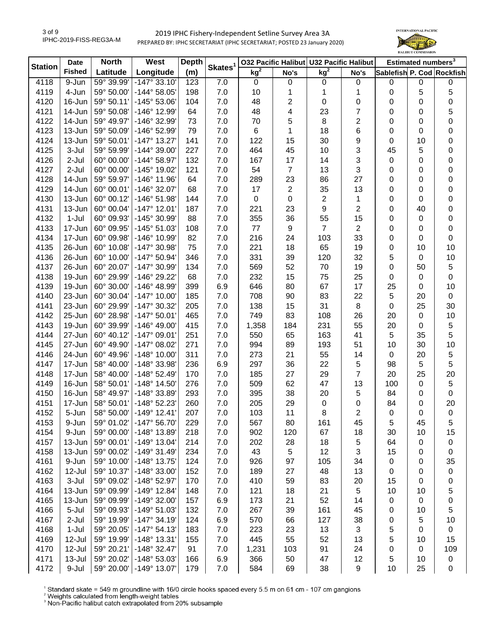

| <b>Station</b> | <b>Date</b>    | <b>North</b>               | West                         | <b>Depth</b> |                     |                 | 032 Pacific Halibut U32 Pacific Halibut |                 |                |             | Estimated numbers <sup>3</sup> |                           |
|----------------|----------------|----------------------------|------------------------------|--------------|---------------------|-----------------|-----------------------------------------|-----------------|----------------|-------------|--------------------------------|---------------------------|
|                | <b>Fished</b>  | Latitude                   | Longitude                    | (m)          | Skates <sup>1</sup> | kg <sup>2</sup> | No's                                    | kg <sup>2</sup> | No's           |             |                                | Sablefish P. Cod Rockfish |
| 4118           | 9-Jun          | 59° 39.99'                 | $-147°33.10'$                | 123          | 7.0                 | $\mathbf 0$     | 0                                       | 0               | $\pmb{0}$      | 0           | $\pmb{0}$                      | 0                         |
| 4119           | 4-Jun          | 59° 50.00'                 | $-144^{\circ} 58.05'$        | 198          | 7.0                 | 10              | 1                                       | 1               | 1              | 0           | 5                              | 5                         |
| 4120           | 16-Jun         | 59° 50.11'                 | $-145^{\circ} 53.06'$        | 104          | 7.0                 | 48              | 2                                       | 0               | 0              | 0           | 0                              | $\mathbf 0$               |
| 4121           | 14-Jun         | 59° 50.08'                 | -146° 12.99'                 | 64           | 7.0                 | 48              | 4                                       | 23              | $\overline{7}$ | 0           | 0                              | 5                         |
| 4122           | 14-Jun         | 59° 49.97'                 | -146° 32.99'                 | 73           | 7.0                 | 70              | 5                                       | 8               | 2              | 0           | 0                              | 0                         |
| 4123           | 13-Jun         | 59° 50.09'                 | -146° 52.99'                 | 79           | 7.0                 | 6               | 1                                       | 18              | 6              | 0           | 0                              | 0                         |
| 4124           | 13-Jun         | 59° 50.01'                 | $-147°$ 13.27                | 141          | 7.0                 | 122             | 15                                      | 30              | 9              | 0           | 10                             | 0                         |
| 4125           | 3-Jul          | 59° 59.99'                 | $-144^{\circ}$ 39.00         | 227          | 7.0                 | 464             | 45                                      | 10              | 3              | 45          | 5                              | 0                         |
| 4126           | 2-Jul          | 60° 00.00'                 | $-144^{\circ} 58.97'$        | 132          | 7.0                 | 167             | 17                                      | 14              | 3              | 0           | 0                              | 0                         |
| 4127           | $2-Jul$        | 60° 00.00'                 | -145° 19.02'                 | 121          | 7.0                 | 54              | $\overline{7}$                          | 13              | 3              | 0           | 0                              | 0                         |
| 4128           | 14-Jun         | 59° 59.97'                 | -146° 11.96'                 | 64           | 7.0                 | 289             | 23                                      | 86              | 27             | 0           | 0                              | 0                         |
| 4129           | 14-Jun         | 60° 00.01'                 | -146° 32.07'                 | 68           | 7.0                 | 17              | $\overline{2}$                          | 35              | 13             | 0           | 0                              | $\mathbf 0$               |
| 4130           | 13-Jun         | 60° 00.12'                 | $-146°51.98'$                | 144          | 7.0                 | 0               | $\pmb{0}$                               | $\overline{2}$  | 1              | 0           | 0                              | $\mathbf 0$               |
| 4131           | 13-Jun         | 60° 00.04'                 | $-147°$ 12.01'               | 187          | 7.0                 | 221             | 23                                      | 9               | $\overline{c}$ | 0           | 40                             | $\pmb{0}$                 |
| 4132           | $1-Jul$        | 60° 09.93'                 | -145° 30.99'                 | 88           | 7.0                 | 355             | 36                                      | 55              | 15             | 0           | $\boldsymbol{0}$               | $\pmb{0}$                 |
| 4133           | 17-Jun         | 60° 09.95'                 | $-145°51.03'$                | 108          | 7.0                 | 77              | 9                                       | $\overline{7}$  | $\overline{2}$ | 0           | 0                              | $\mathbf 0$               |
| 4134           | 17-Jun         | 60° 09.98'                 | -146° 10.99'                 | 82           | 7.0                 | 216             | 24                                      | 103             | 33             | 0           | 0                              | 0                         |
| 4135           | 26-Jun         | 60° 10.08'                 | -147° 30.98'                 | 75           | 7.0                 | 221             | 18                                      | 65              | 19             | 0           | 10                             | 10                        |
| 4136           | 26-Jun         | 60° 10.00'                 | $-147°50.94'$                | 346          | 7.0                 | 331             | 39                                      | 120             | 32             | 5           | 0                              | 10                        |
| 4137           | 26-Jun         | 60° 20.07'                 | -147° 30.99'                 | 134          | 7.0                 | 569             | 52                                      | 70              | 19             | 0           | 50                             | 5                         |
| 4138           | 19-Jun         | 60° 29.99'                 | -146° 29.22'                 | 68           | 7.0                 | 232             | 15                                      | 75              | 25             | 0           | 0                              | 0                         |
| 4139           | 19-Jun         | 60° 30.00'                 | $-146^{\circ}$ 48.99'        | 399          | 6.9                 | 646             | 80                                      | 67              | 17             | 25          | 0                              | 10                        |
| 4140           | 23-Jun         | 60° 30.04'                 | $-147^{\circ}$ 10.00         | 185          | 7.0                 | 708             | 90                                      | 83              | 22             | 5           | 20                             | $\mathsf 0$               |
| 4141           | 23-Jun         | 60° 29.99'                 | -147° 30.32'                 | 205          | 7.0                 | 138             | 15                                      | 31              | 8              | 0           | 25                             | 30                        |
| 4142           | 25-Jun         | 60° 28.98'                 | $-147°50.01'$                | 465          | 7.0                 | 749             | 83                                      | 108             | 26             | 20          | 0                              | 10                        |
| 4143           | 19-Jun         | 60° 39.99'                 | $-146^{\circ}$ 49.00         | 415          | $7.0$               | 1,358           | 184                                     | 231             | 55             | 20          | 0                              | $\sqrt{5}$                |
| 4144           | 27-Jun         | 60° 40.12'                 | -147° 09.01'                 | 251          | 7.0                 | 550             | 65                                      | 163             | 41             | 5           | 35                             | 5                         |
| 4145           | 27-Jun         | 60° 49.90'                 | $-147^{\circ}$ 08.02'        | 271          | $7.0$               | 994             | 89                                      | 193             | 51             | 10          | 30                             | 10                        |
| 4146           | 24-Jun         | 60° 49.96'                 | $-148^\circ$ 10.00'          | 311          | $7.0$               | 273             | 21                                      | 55              | 14             | $\mathbf 0$ | 20                             | $\sqrt{5}$                |
| 4147           | 17-Jun         | 58° 40.00'                 | -148° 33.98'                 | 236          | 6.9                 | 297             | 36                                      | 22              | 5              | 98          | 5                              | 5                         |
| 4148           | 17-Jun         | 58° 40.00'                 | $-148°52.49'$                | 170          | 7.0                 | 185             | 27                                      | 29              | $\overline{7}$ | 20          | 25                             | 20                        |
| 4149           | 16-Jun         | 58° 50.01'                 | $-148^\circ$ 14.50           | 276          | 7.0                 | 509             | 62                                      | 47              | 13             | 100         | $\mathsf 0$                    | $\sqrt{5}$                |
| 4150           | 16-Jun         | 58° 49.97'                 | -148° 33.89'                 | 293          | 7.0                 | 395             | 38                                      | 20              | 5              | 84          | $\boldsymbol{0}$               | 0                         |
| 4151           | 17-Jun         | 58° 50.01'                 | -148° 52.23'                 | 260          | 7.0                 | 205             | 29                                      | $\mathbf 0$     | 0              | 84          | 0                              | 20                        |
| 4152           |                |                            |                              |              |                     |                 |                                         |                 |                |             | 0                              |                           |
| 4153           | 5-Jun<br>9-Jun | 58° 50.00'  <br>59° 01.02' | -149° 12.41<br>$-147°56.70'$ | 207<br>229   | 7.0<br>7.0          | 103<br>567      | 11<br>80                                | 8<br>161        | 2<br>45        | 0<br>5      | 45                             | 0<br>5                    |
| 4154           | 9-Jun          | 59° 00.00'                 | -148° 13.89'                 | 218          |                     |                 | 120                                     | 67              |                |             |                                |                           |
|                |                | 59° 00.01'                 |                              |              | 7.0                 | 902             |                                         |                 | 18             | 30          | 10                             | 15                        |
| 4157           | 13-Jun         |                            | $-149°$ 13.04                | 214          | 7.0                 | 202             | 28                                      | 18              | 5              | 64          | 0                              | 0                         |
| 4158           | 13-Jun         | 59° 00.02'                 | $-149°31.49'$                | 234          | 7.0                 | 43              | 5                                       | 12              | 3              | 15          | 0                              | 0                         |
| 4161           | 9-Jun          | 59° 10.00'                 | $-148°$ 13.75'               | 124          | 7.0                 | 926             | 97                                      | 105             | 34             | 0           | 0                              | 35                        |
| 4162           | 12-Jul         | 59° 10.37'                 | -148° 33.00'                 | 152          | 7.0                 | 189             | 27                                      | 48              | 13             | 0           | 0                              | 0                         |
| 4163           | 3-Jul          | 59° 09.02'                 | -148° 52.97'                 | 170          | 7.0                 | 410             | 59                                      | 83              | 20             | 15          | 0                              | 0                         |
| 4164           | 13-Jun         | 59° 09.99'                 | $-149°$ 12.84                | 148          | 7.0                 | 121             | 18                                      | 21              | 5              | 10          | 10                             | 5                         |
| 4165           | 13-Jun         | 59° 09.99'                 | -149° 32.00'                 | 157          | 6.9                 | 173             | 21                                      | 52              | 14             | $\pmb{0}$   | $\boldsymbol{0}$               | 0                         |
| 4166           | 5-Jul          | 59° 09.93'                 | $-149°51.03'$                | 132          | 7.0                 | 267             | 39                                      | 161             | 45             | 0           | 10                             | 5                         |
| 4167           | $2-Jul$        | 59° 19.99'                 | $-147°34.19'$                | 124          | 6.9                 | 570             | 66                                      | 127             | 38             | 0           | 5                              | 10                        |
| 4168           | $1-Jul$        | 59° 20.05'                 | $-147°54.13'$                | 183          | 7.0                 | 223             | 23                                      | 13              | 3              | 5           | 0                              | $\mathbf 0$               |
| 4169           | 12-Jul         | 59° 19.99'                 | $-148°$ 13.31                | 155          | 7.0                 | 445             | 55                                      | 52              | 13             | 5           | 10                             | 15                        |
| 4170           | 12-Jul         | 59° 20.21'                 | -148° 32.47'                 | 91           | 7.0                 | 1,231           | 103                                     | 91              | 24             | 0           | 0                              | 109                       |
| 4171           | 13-Jul         | 59° 20.02'                 | -148° 53.03'                 | 166          | 6.9                 | 366             | 50                                      | 47              | 12             | 5           | 10                             | 0                         |
| 4172           | 9-Jul          | 59° 20.00'                 | -149° 13.07'                 | 179          | $7.0$               | 584             | 69                                      | 38              | 9              | 10          | 25                             | $\mathbf 0$               |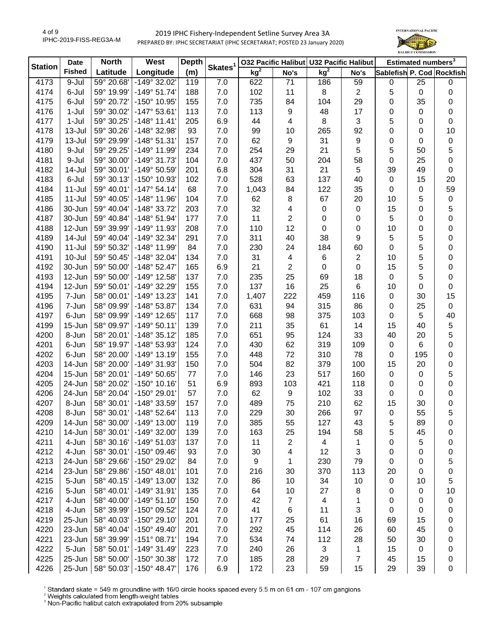

| <b>Station</b> | <b>Date</b>   | <b>North</b> | West                  | <b>Depth</b> | Skates <sup>1</sup> |                 |                | 032 Pacific Halibut U32 Pacific Halibut |      |                           | Estimated numbers <sup>3</sup> |                  |
|----------------|---------------|--------------|-----------------------|--------------|---------------------|-----------------|----------------|-----------------------------------------|------|---------------------------|--------------------------------|------------------|
|                | <b>Fished</b> | Latitude     | Longitude             | (m)          |                     | kg <sup>2</sup> | No's           | kg <sup>2</sup>                         | No's | Sablefish P. Cod Rockfish |                                |                  |
| 4173           | 9-Jul         | 59° 20.68'   | $-149°32.02'$         | 119          | 7.0                 | 622             | 71             | 186                                     | 59   | 0                         | 25                             | $\mathbf 0$      |
| 4174           | 6-Jul         | 59° 19.99'   | $-149°51.74'$         | 188          | 7.0                 | 102             | 11             | 8                                       | 2    | 5                         | 0                              | 0                |
| 4175           | 6-Jul         | 59° 20.72'   | -150° 10.95'          | 155          | 7.0                 | 735             | 84             | 104                                     | 29   | 0                         | 35                             | 0                |
| 4176           | 1-Jul         | 59° 30.02'   | $-147°53.61'$         | 113          | 7.0                 | 113             | 9              | 48                                      | 17   | 0                         | 0                              | $\pmb{0}$        |
| 4177           | $1-Jul$       | 59° 30.25'   | $-148°$ 11.41'        | 205          | 6.9                 | 44              | 4              | 8                                       | 3    | 5                         | 0                              | 0                |
| 4178           | $13 -$ Jul    | 59° 30.26'   | -148° 32.98'          | 93           | 7.0                 | 99              | 10             | 265                                     | 92   | 0                         | 0                              | 10               |
| 4179           | 13-Jul        | 59° 29.99'   | $-148°51.31'$         | 157          | 7.0                 | 62              | 9              | 31                                      | 9    | 0                         | 0                              | $\pmb{0}$        |
| 4180           | 9-Jul         | 59° 29.25'   | -149° 11.99'          | 234          | 7.0                 | 254             | 29             | 21                                      | 5    | 5                         | 50                             | 5                |
| 4181           | 9-Jul         | 59° 30.00'   | -149° 31.73'          | 104          | 7.0                 | 437             | 50             | 204                                     | 58   | 0                         | 25                             | $\mathbf 0$      |
| 4182           | 14-Jul        | 59° 30.01'   | -149° 50.59'          | 201          | 6.8                 | 304             | 31             | 21                                      | 5    | 39                        | 49                             | 0                |
| 4183           | 6-Jul         | 59° 30.13'   | -150° 10.93'          | 102          | 7.0                 | 528             | 63             | 137                                     | 40   | $\mathbf 0$               | 15                             | 20               |
| 4184           | $11 -$ Jul    | 59° 40.01'   | $-147°54.14'$         | 68           | 7.0                 | 1,043           | 84             | 122                                     | 35   | 0                         | 0                              | 59               |
| 4185           | $11 -$ Jul    | 59° 40.05'   | $-148°$ 11.96'        | 104          | 7.0                 | 62              | 8              | 67                                      | 20   | 10                        | 5                              | $\pmb{0}$        |
| 4186           | 30-Jun        | 59° 40.04'   | -148° 33.72'          | 203          | 7.0                 | 32              | 4              | $\pmb{0}$                               | 0    | 15                        | 0                              | 5                |
| 4187           | 30-Jun        | 59° 40.84'   | $-148°51.94'$         | 177          | $7.0$               | 11              | $\overline{2}$ | 0                                       | 0    | 5                         | 0                              | $\boldsymbol{0}$ |
| 4188           | 12-Jun        | 59° 39.99'   | $-149°$ 11.93         | 208          | 7.0                 | 110             | 12             | 0                                       | 0    | 10                        | 0                              | $\pmb{0}$        |
| 4189           | 14-Jul        | 59° 40.04'   | -149° 32.34'          | 291          | 7.0                 | 311             | 40             | 38                                      | 9    | 5                         | 5                              | 0                |
| 4190           | $11 -$ Jul    | 59° 50.32'   | -148° 11.99'          | 84           | 7.0                 | 230             | 24             | 184                                     | 60   | 0                         | 5                              | 0                |
| 4191           | $10 -$ Jul    | 59° 50.45'   | -148° 32.04'          | 134          | 7.0                 | 31              | 4              | 6                                       | 2    | 10                        | 5                              | 0                |
| 4192           | 30-Jun        | 59° 50.00'   | $-148°52.47'$         | 165          | 6.9                 | 21              | $\overline{2}$ | 0                                       | 0    | 15                        | 5                              | 0                |
| 4193           | 12-Jun        | 59° 50.00'   | -149° 12.58'          | 137          | 7.0                 | 235             | 25             | 69                                      | 18   | $\mathbf 0$               | 5                              | $\mathbf 0$      |
| 4194           | 12-Jun        | 59° 50.01'   | -149° 32.29'          | 155          | 7.0                 | 137             | 16             | 25                                      | 6    | 10                        | 0                              | $\mathbf 0$      |
| 4195           | 7-Jun         | 58° 00.01'   | -149° 13.23'          | 141          | 7.0                 | 1,407           | 222            | 459                                     | 116  | $\pmb{0}$                 | 30                             | 15               |
| 4196           | 7-Jun         | 58° 09.99'   | -148° 53.87'          | 134          | 7.0                 | 631             | 94             | 315                                     | 86   | 0                         | 25                             | $\mathsf 0$      |
| 4197           | 6-Jun         | 58° 09.99'   | -149° 12.65'          | 117          | 7.0                 | 668             | 98             | 375                                     | 103  | 0                         | 5                              | 40               |
| 4199           | 15-Jun        | 58° 09.97'   | $-149°50.11'$         | 139          | 7.0                 | 211             | 35             | 61                                      | 14   | 15                        | 40                             | 5                |
| 4200           | 8-Jun         | 58° 20.01'   | $-148°35.12'$         | 185          | 7.0                 | 651             | 95             | 124                                     | 33   | 40                        | 20                             | 5                |
| 4201           | 6-Jun         | 58° 19.97'   | -148° 53.93'          | 124          | 7.0                 | 430             | 62             | 319                                     | 109  | $\mathbf 0$               | 6                              | 0                |
| 4202           | 6-Jun         | 58° 20.00'   | $-149°$ 13.19         | 155          | 7.0                 | 448             | 72             | 310                                     | 78   | 0                         | 195                            | 0                |
| 4203           | 14-Jun        | 58° 20.00'   | -149° 31.93'          | 150          | 7.0                 | 504             | 82             | 379                                     | 100  | 15                        | 20                             | 0                |
| 4204           | 15-Jun        | 58° 20.01'   | $-149°50.65'$         | $77$         | 7.0                 | 146             | 23             | 517                                     | 160  | $\mathbf 0$               | $\mathsf 0$                    | 5                |
| 4205           | 24-Jun        | 58° 20.02'   | $-150^{\circ}$ 10.16' | 51           | 6.9                 | 893             | 103            | 421                                     | 118  | $\pmb{0}$                 | $\boldsymbol{0}$               | $\mathbf 0$      |
| 4206           | 24-Jun        | 58° 20.04'   | -150° 29.01'          | 57           | 7.0                 | 62              | 9              | 102                                     | 33   | 0                         | $\boldsymbol{0}$               | 0                |
| 4207           | 8-Jun         | 58° 30.01'   | -148° 33.59'          | 157          | 7.0                 | 489             | 75             | 210                                     | 62   | 15                        | 30                             | 0                |
| 4208           | 8-Jun         | 58° 30.01'   | $-148°52.64'$         | 113          | 7.0                 | 229             | 30             | 266                                     | 97   | 0                         | 55                             | 5                |
| 4209           | 14-Jun        | 58° 30.00'   | $-149°$ 13.00         | 119          | 7.0                 | 385             | 55             | 127                                     | 43   | 5                         | 89                             | 0                |
| 4210           | 14-Jun        | 58° 30.01'   | $-149°32.00'$         | 139          | 7.0                 | 163             | 25             | 194                                     | 58   | 5                         | 45                             | 0                |
| 4211           | 4-Jun         | 58° 30.16'   | -149° 51.03'          | 137          | 7.0                 | 11              | 2              | 4                                       | 1    | 0                         | 5                              | 0                |
| 4212           | 4-Jun         | 58° 30.01'   | $-150^{\circ}$ 09.46  | 93           | 7.0                 | 30              | 4              | 12                                      | 3    | 0                         | 0                              | 0                |
| 4213           | 24-Jun        | 58° 29.66'   | -150° 29.02'          | 84           | 7.0                 | 9               | 1              | 230                                     | 79   | 0                         | 0                              | 5                |
| 4214           | 23-Jun        | 58° 29.86'   | $-150^{\circ}$ 48.01' | 101          | 7.0                 | 216             | 30             | 370                                     | 113  | 20                        | 0                              | 0                |
| 4215           | 5-Jun         | 58° 40.15'   | $-149°$ 13.00         | 132          | 7.0                 | 86              | 10             | 34                                      | 10   | 0                         | 10                             | 5                |
| 4216           | 5-Jun         | 58° 40.01'   | -149° 31.91'          | 135          | 7.0                 | 64              | 10             | 27                                      | 8    | 0                         | 0                              | 10               |
| 4217           | 4-Jun         | 58° 40.00'   | $-149°51.10'$         | 150          | 7.0                 | 42              | 7              | $\overline{\mathbf{4}}$                 | 1    | 0                         | 0                              | 0                |
| 4218           | 4-Jun         | 58° 39.99'   | -150° 09.52'          | 124          | 7.0                 | 41              | 6              | 11                                      | 3    | 0                         | 0                              | 0                |
| 4219           | 25-Jun        | 58° 40.03'   | $-150^{\circ}$ 29.10  | 201          | 7.0                 | 177             | 25             | 61                                      | 16   | 69                        | 15                             | 0                |
| 4220           | 23-Jun        | 58° 40.04'   | $-150^{\circ}$ 49.40  | 201          | $7.0$               | 292             | 45             | 114                                     | 26   | 60                        | 45                             | 0                |
| 4221           | 23-Jun        | 58° 39.99'   | -151° 08.71'          | 194          | 7.0                 | 534             | 74             | 112                                     | 28   | 50                        | 30                             | 0                |
| 4222           | 5-Jun         | 58° 50.01'   | $-149°31.49'$         | 223          | 7.0                 | 240             | 26             | 3                                       | 1    | 15                        | 0                              | 0                |
| 4225           | 25-Jun        | 58° 50.00'   | -150° 30.38'          | 172          | 7.0                 | 185             | 28             | 29                                      | 7    | 45                        | 15                             | 0                |
| 4226           | 25-Jun        | 58° 50.03'   | $-150^{\circ}$ 48.47  | 176          | 6.9                 | 172             | 23             | 59                                      | 15   | 29                        | 39                             | 0                |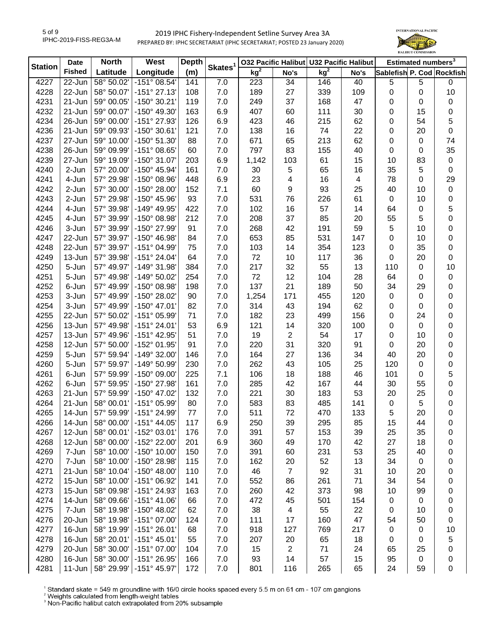

| <b>Station</b> | <b>Date</b>      | <b>North</b>             | West                                  | <b>Depth</b> |                     | 032 Pacific Halibut U32 Pacific Halibut |                         |                 |           | Estimated numbers <sup>3</sup> |             |                           |
|----------------|------------------|--------------------------|---------------------------------------|--------------|---------------------|-----------------------------------------|-------------------------|-----------------|-----------|--------------------------------|-------------|---------------------------|
|                | <b>Fished</b>    | Latitude                 | Longitude                             | (m)          | Skates <sup>1</sup> | $kg^2$                                  | No's                    | kg <sup>2</sup> | No's      |                                |             | Sablefish P. Cod Rockfish |
| 4227           | $22 - Jun$       | 58° 50.02'               | $-151^{\circ}$ 08.54'                 | 141          | 7.0                 | 223                                     | 34                      | 146             | 40        | 5                              | 5           | 0                         |
| 4228           | 22-Jun           | 58° 50.07'               | $-151°$ 27.13'                        | 108          | 7.0                 | 189                                     | 27                      | 339             | 109       | 0                              | $\mathbf 0$ | 10                        |
| 4231           | 21-Jun           | 59° 00.05'               | -150° 30.21'                          | 119          | 7.0                 | 249                                     | 37                      | 168             | 47        | 0                              | 0           | 0                         |
| 4232           | 21-Jun           | 59° 00.07'               | -150° 49.30'                          | 163          | 6.9                 | 407                                     | 60                      | 111             | 30        | 0                              | 15          | 0                         |
| 4234           | 26-Jun           | 59° 00.00'               | -151° 27.93'                          | 126          | 6.9                 | 423                                     | 46                      | 215             | 62        | 0                              | 54          | 5                         |
| 4236           | 21-Jun           | 59° 09.93'               | -150° 30.61'                          | 121          | 7.0                 | 138                                     | 16                      | 74              | 22        | 0                              | 20          | $\pmb{0}$                 |
| 4237           | 27-Jun           | 59° 10.00'               | -150° 51.30'                          | 88           | 7.0                 | 671                                     | 65                      | 213             | 62        | 0                              | 0           | 74                        |
| 4238           | 26-Jun           | 59° 09.99'               | -151° 08.65'                          | 60           | 7.0                 | 797                                     | 83                      | 155             | 40        | 0                              | 0           | 35                        |
| 4239           | 27-Jun           | 59° 19.09'               | -150° 31.07'                          | 203          | 6.9                 | 1,142                                   | 103                     | 61              | 15        | 10                             | 83          | 0                         |
| 4240           | 2-Jun            | 57° 20.00'               | -150° 45.94'                          | 161          | 7.0                 | 30                                      | 5                       | 65              | 16        | 35                             | 5           | 0                         |
| 4241           | 4-Jun            | 57° 29.98'               | -150° 08.96'                          | 448          | 6.9                 | 23                                      | 4                       | 16              | 4         | 78                             | 0           | 29                        |
| 4242           | 2-Jun            | 57° 30.00'               | -150° 28.00'                          | 152          | 7.1                 | 60                                      | 9                       | 93              | 25        | 40                             | 10          | $\pmb{0}$                 |
| 4243           | 2-Jun            | 57° 29.98'               | -150° 45.96'                          | 93           | $7.0$               | 531                                     | 76                      | 226             | 61        | 0                              | 10          | $\pmb{0}$                 |
| 4244           | 4-Jun            | 57° 39.98'               | -149° 49.95'                          | 422          | $7.0$               | 102                                     | 16                      | 57              | 14        | 64                             | $\pmb{0}$   | 5                         |
| 4245           | 4-Jun            | 57° 39.99'               | $-150^{\circ}$ 08.98'                 | 212          | 7.0                 | 208                                     | 37                      | 85              | 20        | 55                             | 5           | $\mathbf 0$               |
| 4246           | 3-Jun            | 57° 39.99'               | -150° 27.99'                          | 91           | 7.0                 | 268                                     | 42                      | 191             | 59        | 5                              | 10          | 0                         |
| 4247           | 22-Jun           | 57° 39.97'               | -150° 46.98'                          | 84           | 7.0                 | 653                                     | 85                      | 531             | 147       | 0                              | 10          | 0                         |
| 4248           | 22-Jun           | 57° 39.97'               | -151° 04.99'                          | 75           | 7.0                 | 103                                     | 14                      | 354             | 123       | 0                              | 35          | 0                         |
| 4249           | 13-Jun           | 57° 39.98'               | -151° 24.04'                          | 64           | 7.0                 | 72                                      | 10                      | 117             | 36        | 0                              | 20          | 0                         |
| 4250           | 5-Jun            | 57° 49.97'               | -149° 31.98'                          | 384          | 7.0                 | 217                                     | 32                      | 55              | 13        | 110                            | 0           | 10                        |
| 4251           | 5-Jun            | 57° 49.98'               | -149° 50.02'                          | 254          | 7.0                 | 72                                      | 12                      | 104             | 28        | 64                             | 0           | $\pmb{0}$                 |
| 4252           | 6-Jun            | 57° 49.99'               | -150° 08.98'                          | 198          | 7.0                 | 137                                     | 21                      | 189             | 50        | 34                             | 29          |                           |
| 4253           | 3-Jun            | 57° 49.99'               | -150° 28.02'                          | 90           | 7.0                 |                                         | 171                     | 455             | 120       |                                | 0           | 0                         |
| 4254           | 3-Jun            | 57° 49.99'               | $-150^{\circ}$ 47.01                  | 82           | 7.0                 | 1,254<br>314                            | 43                      | 194             | 62        | 0                              |             | 0                         |
| 4255           | 22-Jun           | 57° 50.02'               | -151° 05.99'                          | 71           | 7.0                 | 182                                     | 23                      | 499             | 156       | 0<br>0                         | 0<br>24     | 0<br>0                    |
| 4256           | 13-Jun           | 57° 49.98'               | $-151°$ 24.01'                        | 53           | 6.9                 | 121                                     | 14                      | 320             | 100       |                                | $\mathbf 0$ |                           |
| 4257           | 13-Jun           | 57° 49.96'               | -151° 42.95'                          | 51           | 7.0                 | 19                                      | $\overline{\mathbf{c}}$ | 54              | 17        | 0<br>0                         | 10          | 0<br>0                    |
| 4258           | 12-Jun           | 57° 50.00'               | -152° 01.95'                          | 91           | 7.0                 | 220                                     | 31                      | 320             | 91        | 0                              | 20          | 0                         |
| 4259           | 5-Jun            | 57° 59.94'               | -149° 32.00'                          | 146          | $7.0\,$             | 164                                     | 27                      | 136             | 34        | 40                             | 20          | $\pmb{0}$                 |
| 4260           | 5-Jun            | 57° 59.97'               | -149° 50.99'                          | 230          | $7.0\,$             | 262                                     | 43                      | 105             | 25        | 120                            | $\pmb{0}$   | $\pmb{0}$                 |
| 4261           | 6-Jun            | 57° 59.99'               | -150° 09.00'                          | 225          | 7.1                 | 106                                     | 18                      | 188             | 46        | 101                            | $\pmb{0}$   | 5                         |
| 4262           | 6-Jun            | 57° 59.95'               | -150° 27.98'                          | 161          | $7.0$               | 285                                     | 42                      | 167             | 44        | 30                             | 55          | $\pmb{0}$                 |
| 4263           | 21-Jun           | 57° 59.99'               | -150° 47.02'                          | 132          | 7.0                 | 221                                     | 30                      | 183             | 53        | 20                             | 25          |                           |
| 4264           | 21-Jun           | 58° 00.01'               | -151° 05.99'                          | 80           | 7.0                 | 583                                     | 83                      | 485             | 141       | $\mathbf 0$                    | 5           | 0                         |
|                | 14-Jun           |                          |                                       |              |                     |                                         |                         |                 |           |                                |             | 0                         |
| 4265<br>4266   | 14-Jun           | 57° 59.99'<br>58° 00.00' | -151° 24.99'<br>$-151^{\circ}$ 44.05' | 77           | 7.0<br>6.9          | 511<br>250                              | 72<br>39                | 470<br>295      | 133<br>85 | 5                              | 20<br>44    | 0                         |
|                | 12-Jun           | 58° 00.01'               |                                       | 117<br>176   |                     | 391                                     |                         |                 | 39        | 15                             |             | 0                         |
| 4267           | 12-Jun           | 58° 00.00'               | $-152^{\circ}$ 03.01'<br>-152° 22.00' | 201          | 7.0                 |                                         | 57                      | 153             | 42        | 25<br>27                       | 35<br>18    | 0                         |
| 4268<br>4269   | 7-Jun            | 58° 10.00'               | -150° 10.00'                          | 150          | 6.9<br>7.0          | 360<br>391                              | 49                      | 170<br>231      | 53        | 25                             | 40          | 0                         |
| 4270           | 7-Jun            | 58° 10.00'               | -150° 28.98'                          | 115          | 7.0                 | 162                                     | 60<br>20                | 52              | 13        | 34                             | 0           | 0                         |
| 4271           | 21-Jun           | 58° 10.04'               | $-150^{\circ}$ 48.00'                 | 110          | 7.0                 | 46                                      | 7                       | 92              | 31        | 10                             | 20          | 0                         |
| 4272           | 15-Jun           | 58° 10.00'               | -151° 06.92'                          | 141          | 7.0                 | 552                                     | 86                      | 261             | 71        | 34                             | 54          | 0                         |
| 4273           | 15-Jun           | 58° 09.98'               | -151° 24.93'                          | 163          | 7.0                 | 260                                     | 42                      | 373             | 98        |                                | 99          | 0                         |
| 4274           |                  | 58° 09.66'               | $-151^{\circ}$ 41.06'                 | 66           | 7.0                 | 472                                     |                         |                 |           | 10                             | 0           | 0                         |
|                | 14-Jun           |                          |                                       |              |                     |                                         | 45                      | 501             | 154       | 0                              |             | 0                         |
| 4275           | 7-Jun            | 58° 19.98'               | -150° 48.02'                          | 62           | 7.0                 | 38                                      | 4                       | 55              | 22        | 0                              | 10          | 0                         |
| 4276<br>4277   | 20-Jun           | 58° 19.98'<br>58° 19.99' | -151° 07.00'<br>$-151°26.01'$         | 124          | 7.0<br>7.0          | 111<br>918                              | 17<br>127               | 160             | 47<br>217 | 54                             | 50          | 0                         |
| 4278           | 16-Jun<br>16-Jun | 58° 20.01'               | $-151°$ 45.01'                        | 68<br>55     | 7.0                 | 207                                     | 20                      | 769<br>65       | 18        | 0                              | 0<br>0      | 10                        |
| 4279           | 20-Jun           | 58° 30.00'               | -151° 07.00'                          | 104          | 7.0                 | 15                                      | 2                       | 71              | 24        | 0<br>65                        | 25          | 5                         |
| 4280           | 16-Jun           | 58° 30.00'               | -151° 26.95'                          | 166          | 7.0                 | 93                                      | 14                      | 57              | 15        | 95                             | 0           | 0<br>0                    |
| 4281           | 11-Jun           | 58° 29.99'               | $-151^{\circ}$ 45.97                  | 172          | $7.0$               | 801                                     | 116                     | 265             | 65        | 24                             | 59          | 0                         |
|                |                  |                          |                                       |              |                     |                                         |                         |                 |           |                                |             |                           |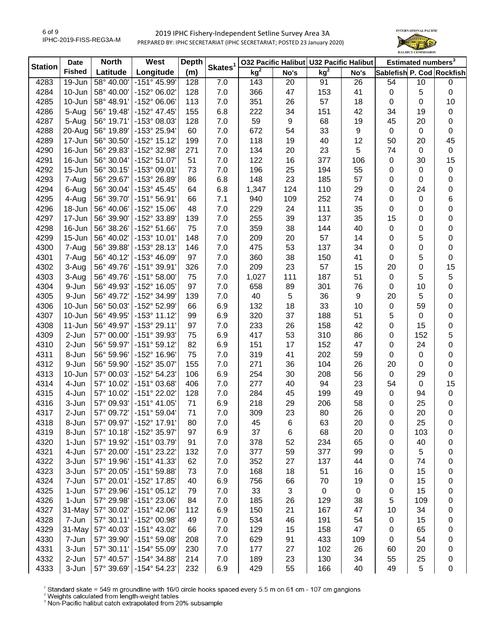

| <b>Station</b> | <b>Date</b>   | <b>North</b> | West                    | <b>Depth</b> |                     |                 |             | 032 Pacific Halibut U32 Pacific Halibut |      |                           | Estimated numbers <sup>3</sup> |             |
|----------------|---------------|--------------|-------------------------|--------------|---------------------|-----------------|-------------|-----------------------------------------|------|---------------------------|--------------------------------|-------------|
|                | <b>Fished</b> | Latitude     | Longitude               | (m)          | Skates <sup>1</sup> | kg <sup>2</sup> | No's        | kg <sup>2</sup>                         | No's | Sablefish P. Cod Rockfish |                                |             |
| 4283           | 19-Jun        | 58° 40.00'   | -151° 45.99'            | 128          | 7.0                 | 143             | 20          | 91                                      | 26   | 54                        | 10                             | $\pmb{0}$   |
| 4284           | 10-Jun        | 58° 40.00'   | -152° 06.02'            | 128          | 7.0                 | 366             | 47          | 153                                     | 41   | $\boldsymbol{0}$          | 5                              | $\pmb{0}$   |
| 4285           | 10-Jun        | 58° 48.91'   | -152° 06.06'            | 113          | 7.0                 | 351             | 26          | 57                                      | 18   | 0                         | 0                              | 10          |
| 4286           | 5-Aug         | 56° 19.48'   | -152° 47.45'            | 155          | 6.8                 | 222             | 34          | 151                                     | 42   | 34                        | 19                             | $\pmb{0}$   |
| 4287           | 5-Aug         | 56° 19.71'   | -153° 08.03'            | 128          | 7.0                 | 59              | 9           | 68                                      | 19   | 45                        | 20                             | 0           |
| 4288           | 20-Aug        | 56° 19.89'   | -153° 25.94'            | 60           | 7.0                 | 672             | 54          | 33                                      | 9    | $\mathbf 0$               | 0                              | 0           |
| 4289           | 17-Jun        | 56° 30.50'   | -152° 15.12'            | 199          | 7.0                 | 118             | 19          | 40                                      | 12   | 50                        | 20                             | 45          |
| 4290           | 16-Jun        | 56° 29.83'   | -152° 32.98'            | 271          | 7.0                 | 134             | 20          | 23                                      | 5    | 74                        | 0                              | $\mathbf 0$ |
| 4291           | 16-Jun        | 56° 30.04'   | -152° 51.07'            | 51           | 7.0                 | 122             | 16          | 377                                     | 106  | $\pmb{0}$                 | 30                             | 15          |
| 4292           | 15-Jun        | 56° 30.15'   | -153° 09.01'            | 73           | 7.0                 | 196             | 25          | 194                                     | 55   | 0                         | 0                              | 0           |
| 4293           | 7-Aug         | 56° 29.67'   | -153° 26.89'            | 86           | 6.8                 | 148             | 23          | 185                                     | 57   | 0                         | 0                              | 0           |
| 4294           | 6-Aug         | 56° 30.04'   | $-153^{\circ}$ 45.45'   | 64           | 6.8                 | 1,347           | 124         | 110                                     | 29   | 0                         | 24                             | 0           |
| 4295           | 4-Aug         | 56° 39.70'   | $-151°56.91'$           | 66           | 7.1                 | 940             | 109         | 252                                     | 74   | 0                         | 0                              | 6           |
| 4296           | 18-Jun        | 56° 40.06'   | -152° 15.06'            | 48           | 7.0                 | 229             | 24          | 111                                     | 35   | 0                         | 0                              | 0           |
| 4297           | 17-Jun        | 56° 39.90'   | -152° 33.89'            | 139          | 7.0                 | 255             | 39          | 137                                     | 35   | 15                        | 0                              | 0           |
| 4298           | 16-Jun        | 56° 38.26'   | -152° 51.66'            | 75           | 7.0                 | 359             | 38          | 144                                     | 40   | $\pmb{0}$                 | 0                              | 0           |
| 4299           | $15 - Jun$    | 56° 40.02'   | -153° 10.01'            | 148          | 7.0                 | 209             | 20          | 57                                      | 14   | 0                         | 5                              | 0           |
| 4300           | 7-Aug         | 56° 39.88'   | -153° 28.13'            | 146          | 7.0                 | 475             | 53          | 137                                     | 34   | 0                         | 0                              | 0           |
| 4301           | 7-Aug         | 56° 40.12'   | -153° 46.09'            | 97           | 7.0                 | 360             | 38          | 150                                     | 41   | 0                         | 5                              | 0           |
| 4302           | 3-Aug         | 56° 49.76'   | -151° 39.91'            | 326          | 7.0                 | 209             | 23          | 57                                      | 15   | 20                        | 0                              | 15          |
| 4303           | 3-Aug         | 56° 49.76'   | $-151°58.00'$           | 75           | 7.0                 | 1,027           | 111         | 187                                     | 51   | $\pmb{0}$                 | 5                              | $\mathbf 5$ |
| 4304           | 9-Jun         | 56° 49.93'   | -152° 16.05'            | 97           | 7.0                 | 658             | 89          | 301                                     | 76   | 0                         | 10                             | $\mathbf 0$ |
| 4305           | 9-Jun         | 56° 49.72'   | -152° 34.99'            | 139          | 7.0                 | 40              | $\,$ 5 $\,$ | 36                                      | 9    | 20                        | 5                              | 0           |
| 4306           | 10-Jun        | 56° 50.03'   | -152° 52.99'            | 66           | 6.9                 | 132             | 18          | 33                                      | 10   | $\boldsymbol{0}$          | 59                             | 0           |
| 4307           | 10-Jun        | 56° 49.95'   | $-153°$ 11.12           | 99           | 6.9                 | 320             | 37          | 188                                     | 51   | 5                         | 0                              | 0           |
| 4308           | $11-Jun$      | 56° 49.97'   | $-153°$ 29.11'          | 97           | 7.0                 | 233             | 26          | 158                                     | 42   | 0                         | 15                             | 0           |
| 4309           | 2-Jun         | 57° 00.00'   | -151° 39.93'            | 75           | 6.9                 | 417             | 53          | 310                                     | 86   | 0                         | 152                            | 5           |
| 4310           | 2-Jun         | 56° 59.97'   | $-151°59.12'$           | 82           | 6.9                 | 151             | 17          | 152                                     | 47   | 0                         | 24                             | 0           |
| 4311           | 8-Jun         | 56° 59.96'   | -152° 16.96'            | 75           | 7.0                 | 319             | 41          | 202                                     | 59   | 0                         | $\mathbf 0$                    | 0           |
| 4312           | 9-Jun         | 56° 59.90'   | -152° 35.07'            | 155          | 7.0                 | 271             | 36          | 104                                     | 26   | 20                        | 0                              | 0           |
| 4313           | 10-Jun        | 57° 00.03'   | -152° 54.23'            | 106          | 6.9                 | 254             | 30          | 208                                     | 56   | $\mathsf 0$               | 29                             | $\pmb{0}$   |
| 4314           | 4-Jun         | 57° 10.02'   | -151° 03.68'            | 406          | 7.0                 | 277             | 40          | 94                                      | 23   | 54                        | $\mathbf 0$                    | 15          |
| 4315           | 4-Jun         | 57° 10.02'   | -151° 22.02'            | 128          | 7.0                 | 284             | 45          | 199                                     | 49   | 0                         | 94                             | $\pmb{0}$   |
| 4316           | 3-Jun         | 57° 09.93'   | $-151^{\circ}$ 41.05'   | 71           | 6.9                 | 218             | 29          | 206                                     | 58   | 0                         | 25                             | 0           |
| 4317           | 2-Jun         | 57° 09.72'   | -151° 59.04'            | 71           | 7.0                 | 309             | 23          | 80                                      | 26   | 0                         | 20                             | 0           |
| 4318           | 8-Jun         | 57° 09.97'   | -152° 17.91'            | 80           | 7.0                 | 45              | 6           | 63                                      | 20   | 0                         | 25                             | 0           |
| 4319           | 8-Jun         | 57° 10.18'   | -152° 35.97'            | 97           | 6.9                 | 37              | 6           | 68                                      | 20   | 0                         | 103                            | 0           |
| 4320           | 1-Jun         | 57° 19.92'   | $-151^{\circ}$ 03.79    | 91           | 7.0                 | 378             | 52          | 234                                     | 65   | 0                         | 40                             | 0           |
| 4321           | 4-Jun         | 57° 20.00'   | -151° 23.22'            | 132          | 7.0                 | 377             | 59          | 377                                     | 99   | 0                         | 5                              | 0           |
| 4322           | 3-Jun         | 57° 19.96'   | $-151°$ 41.33'          | 62           | 7.0                 | 352             | 27          | 137                                     | 44   | 0                         | 74                             | 0           |
| 4323           | 3-Jun         | 57° 20.05'   | -151° 59.88'            | 73           | 7.0                 | 168             | 18          | 51                                      | 16   | 0                         | 15                             | 0           |
| 4324           | 7-Jun         | 57° 20.01'   | -152° 17.85'            | 40           | 6.9                 | 756             | 66          | 70                                      | 19   | 0                         | 15                             | 0           |
| 4325           | 1-Jun         | 57° 29.96'   | $-151°05.12'$           | 79           | 7.0                 | 33              | 3           | $\pmb{0}$                               | 0    | 0                         | 15                             | 0           |
| 4326           | 1-Jun         | 57° 29.98'   | -151° 23.06'            | 84           | 7.0                 | 185             | 26          | 129                                     | 38   | 5                         | 109                            | 0           |
| 4327           | 31-May        | 57° 30.02'   | -151° 42.06'            | 112          | 6.9                 | 150             | 21          | 167                                     | 47   | 10                        | 34                             | 0           |
| 4328           | 7-Jun         | 57° 30.11'   | -152° 00.98'            | 49           | 7.0                 | 534             | 46          | 191                                     | 54   | 0                         | 15                             | 0           |
| 4329           | 31-May        | 57° 40.03'   | -151° 43.02'            | 66           | 7.0                 | 129             | 15          | 158                                     | 47   | 0                         | 65                             | 0           |
| 4330           | 7-Jun         | 57° 39.90'   | $-151^{\circ}59.08'$    | 208          | 7.0                 | 629             | 91          | 433                                     | 109  | 0                         | 54                             | 0           |
| 4331           | 3-Jun         | 57° 30.11'   | -154° 55.09'            | 230          | 7.0                 | 177             | 27          | 102                                     | 26   | 60                        | 20                             | 0           |
| 4332           | 2-Jun         | 57° 40.57'   | -154° 34.88'            | 214          | 7.0                 | 189             | 23          | 130                                     | 34   | 55                        | 25                             | 0           |
| 4333           | 3-Jun         |              | 57° 39.69' -154° 54.23' | 232          | 6.9                 | 429             | 55          | 166                                     | 40   | 49                        | 5                              | 0           |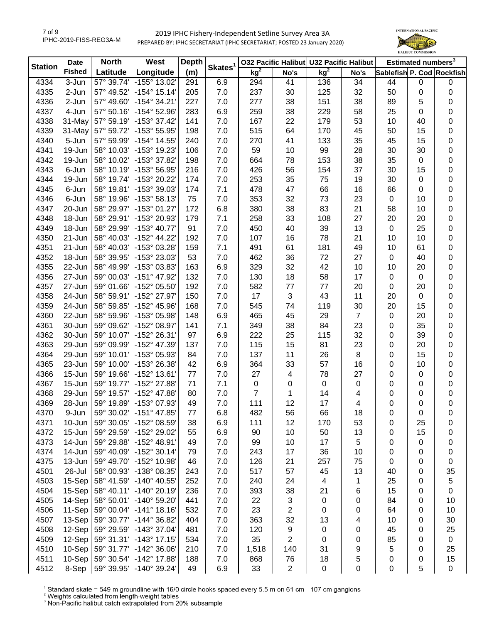

| <b>Station</b> | <b>Date</b>   | <b>North</b> | West                  | <b>Depth</b> |                     |                 |                | 032 Pacific Halibut U32 Pacific Halibut |                |                           | Estimated numbers <sup>3</sup><br>$\mathsf 0$<br>$\mathbf 0$<br>5<br>0<br>40<br>15<br>15<br>30<br>0<br>15<br>$\mathbf 0$<br>0<br>10<br>10<br>20<br>25<br>10<br>61<br>40<br>20<br>0<br>20<br>0<br>15<br>20<br>35<br>39<br>20<br>15 |                 |
|----------------|---------------|--------------|-----------------------|--------------|---------------------|-----------------|----------------|-----------------------------------------|----------------|---------------------------|-----------------------------------------------------------------------------------------------------------------------------------------------------------------------------------------------------------------------------------|-----------------|
|                | <b>Fished</b> | Latitude     | Longitude             | (m)          | Skates <sup>1</sup> | kg <sup>2</sup> | No's           | kg <sup>2</sup>                         | No's           | Sablefish P. Cod Rockfish |                                                                                                                                                                                                                                   |                 |
| 4334           | 3-Jun         | 57° 39.74'   | -155° 13.02'          | 291          | 6.9                 | 294             | 41             | 136                                     | 34             | 44                        |                                                                                                                                                                                                                                   | $\mathbf 0$     |
| 4335           | 2-Jun         | 57° 49.52'   | $-154^{\circ}$ 15.14' | 205          | 7.0                 | 237             | 30             | 125                                     | 32             | 50                        |                                                                                                                                                                                                                                   | 0               |
| 4336           | 2-Jun         | 57° 49.60'   | -154° 34.21'          | 227          | 7.0                 | 277             | 38             | 151                                     | 38             | 89                        |                                                                                                                                                                                                                                   | 0               |
| 4337           | 4-Jun         | 57° 50.16'   | -154° 52.96'          | 283          | 6.9                 | 259             | 38             | 229                                     | 58             | 25                        |                                                                                                                                                                                                                                   | 0               |
| 4338           | 31-May        | 57° 59.19'   | -153° 37.42'          | 141          | 7.0                 | 167             | 22             | 179                                     | 53             | 10                        |                                                                                                                                                                                                                                   | 0               |
| 4339           | 31-May        | 57° 59.72'   | -153° 55.95'          | 198          | 7.0                 | 515             | 64             | 170                                     | 45             | 50                        |                                                                                                                                                                                                                                   | 0               |
| 4340           | 5-Jun         | 57° 59.99'   | -154° 14.55'          | 240          | 7.0                 | 270             | 41             | 133                                     | 35             | 45                        |                                                                                                                                                                                                                                   | $\pmb{0}$       |
| 4341           | 19-Jun        | 58° 10.03'   | -153° 19.23'          | 106          | 7.0                 | 59              | 10             | 99                                      | 28             | 30                        |                                                                                                                                                                                                                                   | 0               |
| 4342           | 19-Jun        | 58° 10.02'   | -153° 37.82'          | 198          | 7.0                 | 664             | 78             | 153                                     | 38             | 35                        |                                                                                                                                                                                                                                   | 0               |
| 4343           | 6-Jun         | 58° 10.19'   | -153° 56.95'          | 216          | 7.0                 | 426             | 56             | 154                                     | 37             | 30                        |                                                                                                                                                                                                                                   | 0               |
| 4344           | 19-Jun        | 58° 19.74'   | -153° 20.22'          | 174          | 7.0                 | 253             | 35             | 75                                      | 19             | 30                        |                                                                                                                                                                                                                                   | 0               |
| 4345           | 6-Jun         | 58° 19.81'   | -153° 39.03'          | 174          | 7.1                 | 478             | 47             | 66                                      | 16             | 66                        |                                                                                                                                                                                                                                   | 0               |
| 4346           | 6-Jun         | 58° 19.96'   | -153° 58.13'          | 75           | 7.0                 | 353             | 32             | 73                                      | 23             | 0                         |                                                                                                                                                                                                                                   | 0               |
| 4347           | 20-Jun        | 58° 29.97'   | -153° 01.27'          | 172          | 6.8                 | 380             | 38             | 83                                      | 21             | 58                        |                                                                                                                                                                                                                                   | $\pmb{0}$       |
| 4348           | 18-Jun        | 58° 29.91'   | -153° 20.93'          | 179          | 7.1                 | 258             | 33             | 108                                     | 27             | 20                        |                                                                                                                                                                                                                                   | $\pmb{0}$       |
| 4349           | 18-Jun        | 58° 29.99'   | -153° 40.77'          | 91           | 7.0                 | 450             | 40             | 39                                      | 13             | $\pmb{0}$                 |                                                                                                                                                                                                                                   | $\pmb{0}$       |
| 4350           | $21 - Jun$    | 58° 40.03'   | -152° 44.22'          | 192          | 7.0                 | 107             | 16             | 78                                      | 21             | 10                        |                                                                                                                                                                                                                                   | $\pmb{0}$       |
| 4351           | 21-Jun        | 58° 40.03'   | -153° 03.28'          | 159          | 7.1                 | 491             | 61             | 181                                     | 49             | 10                        |                                                                                                                                                                                                                                   | 0               |
| 4352           | 18-Jun        | 58° 39.95'   | -153° 23.03'          | 53           | 7.0                 | 462             | 36             | 72                                      | 27             | 0                         |                                                                                                                                                                                                                                   | 0               |
| 4355           | 22-Jun        | 58° 49.99'   | -153° 03.83'          | 163          | 6.9                 | 329             | 32             | 42                                      | 10             | 10                        |                                                                                                                                                                                                                                   | 0               |
| 4356           | 27-Jun        | 59° 00.03'   | -151° 47.92'          | 132          | 7.0                 | 130             | 18             | 58                                      | 17             | 0                         |                                                                                                                                                                                                                                   | 0               |
| 4357           | 27-Jun        | 59° 01.66'   | -152° 05.50'          | 192          | 7.0                 | 582             | 77             | $77$                                    | 20             | 0                         |                                                                                                                                                                                                                                   | 0               |
| 4358           | 24-Jun        | 58° 59.91'   | -152° 27.97'          | 150          | 7.0                 | 17              | 3              | 43                                      | 11             | 20                        |                                                                                                                                                                                                                                   | 0               |
| 4359           | 24-Jun        | 58° 59.85'   | -152° 45.96'          | 168          | 7.0                 | 545             | 74             | 119                                     | 30             | 20                        |                                                                                                                                                                                                                                   | 0               |
| 4360           | 22-Jun        | 58° 59.96'   | -153° 05.98'          | 148          | 6.9                 | 465             | 45             | 29                                      | $\overline{7}$ | 0                         |                                                                                                                                                                                                                                   | 0               |
| 4361           | 30-Jun        | 59° 09.62'   | -152° 08.97'          | 141          | 7.1                 | 349             | 38             | 84                                      | 23             | 0                         |                                                                                                                                                                                                                                   | 0               |
| 4362           | 30-Jun        | 59° 10.07'   | -152° 26.31'          | 97           | 6.9                 | 222             | 25             | 115                                     | 32             | 0                         |                                                                                                                                                                                                                                   | 0               |
| 4363           | 29-Jun        | 59° 09.99'   | -152° 47.39'          | 137          | 7.0                 | 115             | 15             | 81                                      | 23             | 0                         |                                                                                                                                                                                                                                   | 0               |
| 4364           | 29-Jun        | 59° 10.01'   | -153° 05.93'          | 84           | 7.0                 | 137             | 11             | 26                                      | $\bf 8$        | 0                         |                                                                                                                                                                                                                                   | 0               |
| 4365           | 23-Jun        | 59° 10.00'   | -153° 26.38'          | 42           | 6.9                 | 364             | 33             | 57                                      | 16             | 0                         | 10                                                                                                                                                                                                                                | $\pmb{0}$       |
| 4366           | $15 - Jun$    | 59° 19.66'   | -152° 13.61'          | 77           | 7.0                 | 27              | 4              | 78                                      | 27             | 0                         | $\mathbf 0$                                                                                                                                                                                                                       | $\mathbf 0$     |
| 4367           | $15 - Jun$    | 59° 19.77'   | -152° 27.88'          | 71           | 7.1                 | $\pmb{0}$       | 0              | $\pmb{0}$                               | $\,0\,$        | 0                         | $\mathbf 0$                                                                                                                                                                                                                       | $\mathbf 0$     |
| 4368           | 29-Jun        | 59° 19.57'   | -152° 47.88'          | 80           | 7.0                 | $\overline{7}$  | 1              | 14                                      | 4              | 0                         | $\mathbf 0$                                                                                                                                                                                                                       | $\pmb{0}$       |
| 4369           | 28-Jun        | 59° 19.89'   | -153° 07.93'          | 49           | 7.0                 | 111             | 12             | 17                                      | 4              | 0                         | 0                                                                                                                                                                                                                                 | $\pmb{0}$       |
| 4370           | 9-Jun         | 59° 30.02'   | -151° 47.85'          | 77           | 6.8                 | 482             | 56             | 66                                      | 18             | 0                         | 0                                                                                                                                                                                                                                 | 0               |
| 4371           | 10-Jun        | 59° 30.05'   | -152° 08.59'          | 38           | 6.9                 | 111             | 12             | 170                                     | 53             | 0                         | 25                                                                                                                                                                                                                                | 0               |
| 4372           | 15-Jun        | 59° 29.59'   | -152° 29.02'          | 55           | 6.9                 | 90              | 10             | 50                                      | 13             | 0                         | 15                                                                                                                                                                                                                                | 0               |
| 4373           | 14-Jun        | 59° 29.88'   | -152° 48.91'          | 49           | 7.0                 | 99              | 10             | 17                                      | 5              | 0                         | 0                                                                                                                                                                                                                                 | 0               |
| 4374           | 14-Jun        | 59° 40.09'   | $-152°30.14'$         | 79           | 7.0                 | 243             | 17             | 36                                      | 10             | 0                         | 0                                                                                                                                                                                                                                 | 0               |
| 4375           | 13-Jun        | 59° 49.70'   | -152° 10.98'          | 46           | 7.0                 | 126             | 21             | 257                                     | 75             | 0                         | 0                                                                                                                                                                                                                                 | 0               |
| 4501           | 26-Jul        | 58° 00.93'   | -138° 08.35'          | 243          | 7.0                 | 517             | 57             | 45                                      | 13             | 40                        | 0                                                                                                                                                                                                                                 | 35              |
| 4503           | 15-Sep        | 58° 41.59'   | $-140^{\circ}$ 40.55' | 252          | 7.0                 | 240             | 24             | $\overline{\mathbf{4}}$                 | 1              | 25                        | 0                                                                                                                                                                                                                                 | 5               |
| 4504           | 15-Sep        | 58° 40.11'   | $-140^{\circ}$ 20.19' | 236          | 7.0                 | 393             | 38             | 21                                      | 6              | 15                        | 0                                                                                                                                                                                                                                 | 0               |
| 4505           | 14-Sep        | 58° 50.01'   | -140° 59.20'          | 441          | 7.0                 | 22              | 3              | 0                                       | 0              | 84                        | 0                                                                                                                                                                                                                                 | 10              |
| 4506           | 11-Sep        | 59° 00.04'   | $-141^{\circ}$ 18.16' | 532          | 7.0                 | 23              | 2              | 0                                       |                | 64                        |                                                                                                                                                                                                                                   | 10              |
|                | 13-Sep        |              |                       | 404          | 7.0                 |                 |                | 13                                      | 0              | 10                        | 0                                                                                                                                                                                                                                 | 30              |
| 4507           |               | 59° 30.77'   | -144° 36.82'          |              |                     | 363             | 32             |                                         | 4              | 45                        | 0                                                                                                                                                                                                                                 |                 |
| 4508           | 12-Sep        | 59° 29.59'   | -143° 37.04'          | 481          | 7.0                 | 120             | 9              | 0                                       | 0              | 85                        | 0                                                                                                                                                                                                                                 | 25              |
| 4509           | 12-Sep        | 59° 31.31'   | $-143°$ 17.15         | 534          | 7.0                 | 35              | $\overline{c}$ | 0                                       | 0              | 5                         | 0                                                                                                                                                                                                                                 | 0               |
| 4510           | 10-Sep        | 59° 31.77'   | -142° 36.06'          | 210          | 7.0                 | 1,518           | 140            | 31                                      | 9              |                           | 0                                                                                                                                                                                                                                 | 25              |
| 4511           | 10-Sep        | 59° 30.54'   | -142° 17.88'          | 188          | 7.0                 | 868             | 76             | 18                                      | 5              | 0                         | 0<br>5                                                                                                                                                                                                                            | 15<br>$\pmb{0}$ |
| 4512           | 8-Sep         | 59° 39.95'   | -140° 39.24'          | 49           | 6.9                 | 33              | $\overline{c}$ | $\pmb{0}$                               | 0              | 0                         |                                                                                                                                                                                                                                   |                 |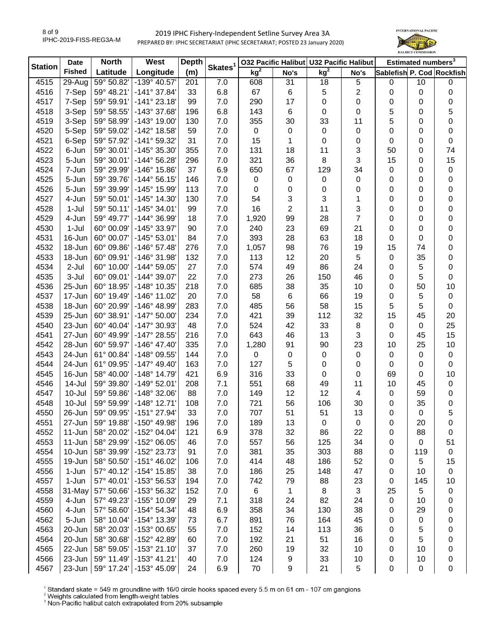

| <b>Station</b> | <b>Date</b>   | <b>North</b> | West                  | <b>Depth</b> | Skates <sup>1</sup> |                 |                | 032 Pacific Halibut U32 Pacific Halibut |                |                           | Estimated numbers <sup>3</sup> |             |
|----------------|---------------|--------------|-----------------------|--------------|---------------------|-----------------|----------------|-----------------------------------------|----------------|---------------------------|--------------------------------|-------------|
|                | <b>Fished</b> | Latitude     | Longitude             | (m)          |                     | kg <sup>2</sup> | No's           | kg <sup>2</sup>                         | No's           | Sablefish P. Cod Rockfish |                                |             |
| 4515           | 29-Aug        | 59° 50.82'   | -139° 40.57'          | 201          | 7.0                 | 608             | 31             | 18                                      | 5              | 0                         | 10                             | 0           |
| 4516           | 7-Sep         | 59° 48.21'   | $-141°37.84'$         | 33           | 6.8                 | 67              | 6              | 5                                       | 2              | 0                         | $\boldsymbol{0}$               | 0           |
| 4517           | 7-Sep         | 59° 59.91'   | $-141°23.18'$         | 99           | 7.0                 | 290             | 17             | 0                                       | 0              | 0                         | 0                              | 0           |
| 4518           | 3-Sep         | 59° 58.55'   | -143° 37.68'          | 196          | 6.8                 | 143             | 6              | 0                                       | 0              | 5                         | 0                              | 5           |
| 4519           | 3-Sep         | 59° 58.99'   | $-143°$ 19.00         | 130          | 7.0                 | 355             | 30             | 33                                      | 11             | 5                         | 0                              | 0           |
| 4520           | 5-Sep         | 59° 59.02'   | -142° 18.58'          | 59           | 7.0                 | 0               | $\mathbf 0$    | 0                                       | 0              | 0                         | 0                              | 0           |
| 4521           | 6-Sep         | 59° 57.92'   | -141° 59.32'          | 31           | 7.0                 | 15              | 1              | 0                                       | 0              | 0                         | 0                              | $\mathbf 0$ |
| 4522           | 6-Jun         | 59° 30.01'   | -145° 35.30'          | 355          | 7.0                 | 131             | 18             | 11                                      | 3              | 50                        | 0                              | 74          |
| 4523           | 5-Jun         | 59° 30.01'   | -144° 56.28'          | 296          | 7.0                 | 321             | 36             | 8                                       | 3              | 15                        | 0                              | 15          |
| 4524           | 7-Jun         | 59° 29.99'   | -146° 15.86'          | 37           | 6.9                 | 650             | 67             | 129                                     | 34             | 0                         | 0                              | $\pmb{0}$   |
| 4525           | 5-Jun         | 59° 39.76'   | $-144^{\circ} 56.15'$ | 146          | 7.0                 | 0               | 0              | 0                                       | 0              | 0                         | 0                              | 0           |
| 4526           | 5-Jun         | 59° 39.99'   | -145° 15.99'          | 113          | 7.0                 | 0               | 0              | 0                                       | 0              | 0                         | 0                              | 0           |
| 4527           | 4-Jun         | 59° 50.01'   | $-145^{\circ}$ 14.30  | 130          | 7.0                 | 54              | 3              | 3                                       | 1              | 0                         | 0                              | $\mathbf 0$ |
| 4528           | 1-Jul         | 59° 50.11'   | $-145^{\circ}$ 34.01  | 99           | 7.0                 | 16              | $\overline{2}$ | 11                                      | 3              | 0                         | 0                              | $\mathbf 0$ |
| 4529           | 4-Jun         | 59° 49.77'   | -144° 36.99'          | 18           | 7.0                 | 1,920           | 99             | 28                                      | $\overline{7}$ | 0                         | 0                              | $\pmb{0}$   |
| 4530           | $1-Jul$       | 60° 00.09'   | -145° 33.97'          | 90           | 7.0                 | 240             | 23             | 69                                      | 21             | 0                         | 0                              | $\pmb{0}$   |
| 4531           | 16-Jun        | 60° 00.07'   | $-145°53.01'$         | 84           | 7.0                 | 393             | 28             | 63                                      | 18             | 0                         | 0                              | 0           |
| 4532           | 18-Jun        | 60° 09.86'   | $-146°57.48'$         | 276          | 7.0                 | 1,057           | 98             | 76                                      | 19             | 15                        | 74                             | 0           |
| 4533           | 18-Jun        | 60° 09.91'   | -146° 31.98'          | 132          | 7.0                 | 113             | 12             | 20                                      | 5              | 0                         | 35                             | 0           |
| 4534           | 2-Jul         | 60° 10.00'   | $-144^{\circ} 59.05'$ | 27           | 7.0                 | 574             | 49             | 86                                      | 24             | 0                         | 5                              | 0           |
| 4535           | 3-Jul         | 60° 09.01'   | $-144^{\circ}$ 39.07  | 22           | 7.0                 | 273             | 26             | 150                                     | 46             | 0                         | 5                              | 0           |
| 4536           | 25-Jun        | 60° 18.95'   | -148° 10.35'          | 218          | 7.0                 | 685             | 38             | 35                                      | 10             | 0                         | 50                             | 10          |
| 4537           | 17-Jun        | 60° 19.49'   | -146° 11.02'          | 20           | 7.0                 | 58              | 6              | 66                                      | 19             | 0                         | 5                              | $\pmb{0}$   |
| 4538           | 18-Jun        | 60° 20.99'   | -146° 48.99'          | 283          | 7.0                 | 485             | 56             | 58                                      | 15             | 5                         | 5                              | $\mathbf 0$ |
| 4539           | 25-Jun        | 60° 38.91'   | $-147^{\circ} 50.00'$ | 234          | 7.0                 | 421             | 39             | 112                                     | 32             | 15                        | 45                             | 20          |
| 4540           | 23-Jun        | 60° 40.04'   | -147° 30.93'          | 48           | 7.0                 | 524             | 42             | 33                                      | 8              | 0                         | 0                              | 25          |
| 4541           | 27-Jun        | 60° 49.99'   | -147° 28.55'          | 216          | 7.0                 | 643             | 46             | 13                                      | 3              | 0                         | 45                             | 15          |
| 4542           | 28-Jun        | 60° 59.97'   | $-146^{\circ}$ 47.40  | 335          | 7.0                 | 1,280           | 91             | 90                                      | 23             | 10                        | 25                             | 10          |
| 4543           | 24-Jun        | 61° 00.84'   | -148° 09.55'          | 144          | 7.0                 | 0               | $\pmb{0}$      | 0                                       | 0              | 0                         | $\boldsymbol{0}$               | $\pmb{0}$   |
| 4544           | 24-Jun        | 61° 09.95'   | $-147^{\circ}$ 49.40  | 163          | 7.0                 | 127             | 5              | 0                                       | 0              | 0                         | $\boldsymbol{0}$               | 0           |
| 4545           | 16-Jun        | 58° 40.00'   | $-148°$ 14.79         | 421          | 6.9                 | 316             | 33             | $\pmb{0}$                               | 0              | 69                        | 0                              | 10          |
| 4546           | 14-Jul        | 59° 39.80'   | $-149°52.01'$         | 208          | 7.1                 | 551             | 68             | 49                                      | 11             | 10                        | 45                             | $\pmb{0}$   |
| 4547           | 10-Jul        | 59° 59.86'   | -148° 32.06'          | 88           | 7.0                 | 149             | 12             | 12                                      | 4              | 0                         | 59                             | $\pmb{0}$   |
| 4548           | $10 -$ Jul    | 59° 59.99'   | $-148°$ 12.71'        | 108          | 7.0                 | 721             | 56             | 106                                     | 30             | 0                         | 35                             | $\mathbf 0$ |
| 4550           | 26-Jun        | 59° 09.95'   | $-151^{\circ}$ 27.94  | 33           | 7.0                 | 707             | 51             | 51                                      | 13             | 0                         | 0                              | 5           |
| 4551           | 27-Jun        | 59° 19.88'   | -150° 49.98'          | 196          | 7.0                 | 189             | 13             | 0                                       | 0              | 0                         | 20                             | 0           |
| 4552           | 11-Jun        | 58° 20.02'   | -152° 04.04'          | 121          | 6.9                 | 378             | 32             | 86                                      | 22             | 0                         | 88                             | 0           |
| 4553           | 11-Jun        | 58° 29.99'   | -152° 06.05'          | 46           | 7.0                 | 557             | 56             | 125                                     | 34             | 0                         | 0                              | 51          |
| 4554           | 10-Jun        | 58° 39.99'   | -152° 23.73'          | 91           | 7.0                 | 381             | 35             | 303                                     | 88             | 0                         | 119                            | 0           |
| 4555           | 19-Jun        | 58° 50.50'   | $-151^{\circ}$ 46.02' | 106          | 7.0                 | 414             | 48             | 186                                     | 52             | 0                         | 5                              | 15          |
| 4556           | 1-Jun         | 57° 40.12'   | -154° 15.85'          | 38           | 7.0                 | 186             | 25             | 148                                     | 47             | 0                         | 10                             | $\mathbf 0$ |
| 4557           | 1-Jun         | 57° 40.01'   | -153° 56.53'          | 194          | 7.0                 | 742             | 79             | 88                                      | 23             | 0                         | 145                            | 10          |
| 4558           | 31-May        | 57° 50.66'   | -153° 56.32'          | 152          | 7.0                 | 6               | 1              | 8                                       | 3              | 25                        | 5                              | 0           |
| 4559           | 4-Jun         | 57° 49.23'   | -155° 10.09'          | 29           | 7.1                 | 318             | 24             | 82                                      | 24             | 0                         | 10                             | 0           |
| 4560           | 4-Jun         | 57° 58.60'   | -154° 54.34'          | 48           | 6.9                 | 358             | 34             | 130                                     | 38             | 0                         | 29                             | 0           |
| 4562           | 5-Jun         | 58° 10.04'   | -154° 13.39'          | 73           | 6.7                 | 891             | 76             | 164                                     | 45             | 0                         | 0                              | 0           |
| 4563           | 20-Jun        | 58° 20.03'   | -153° 00.65'          | 55           | 7.0                 | 152             | 14             | 113                                     | 36             | 0                         | 5                              | 0           |
| 4564           | 20-Jun        | 58° 30.68'   | -152° 42.89'          | 60           | 7.0                 | 192             | 21             | 51                                      | 16             | 0                         | 5                              | 0           |
| 4565           | 22-Jun        | 58° 59.05'   | -153° 21.10'          | 37           | 7.0                 | 260             | 19             | 32                                      | 10             | 0                         | 10                             | 0           |
| 4566           | 23-Jun        | 59° 11.49'   | $-153^{\circ}$ 41.21  | 40           | 7.0                 | 124             | 9              | 33                                      | 10             | 0                         | 10                             | 0           |
| 4567           | 23-Jun        | 59° 17.24'   | -153° 45.09'          | 24           | 6.9                 | 70              | 9              | 21                                      | 5              | 0                         | $\boldsymbol{0}$               | 0           |